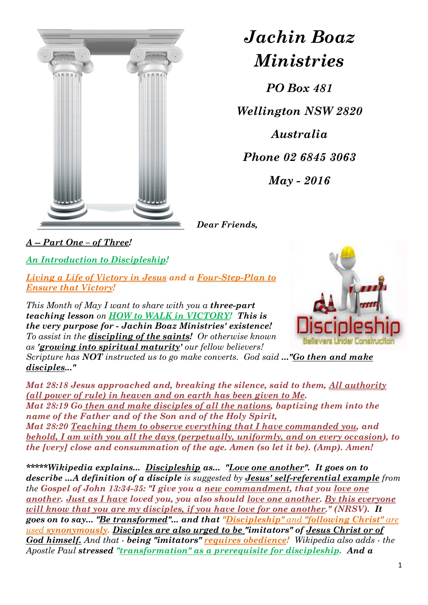

## *Jachin Boaz Ministries*

*PO Box 481*

*Wellington NSW 2820*

*Australia Phone 02 6845 3063 May - 2016*

*Dear Friends,*

*A -- Part One – of Three!*

*An Introduction to Discipleship!*

*Living a Life of Victory in Jesus and a Four-Step-Plan to Ensure that Victory!*

*This Month of May I want to share with you a three-part teaching lesson on HOW to WALK in VICTORY! This is the very purpose for - Jachin Boaz Ministries' existence! To assist in the discipling of the saints! Or otherwise known as 'growing into spiritual maturity' our fellow believers!* 



*Scripture has NOT instructed us to go make converts. God said ..."Go then and make disciples..."*

*Mat 28:18 Jesus approached and, breaking the silence, said to them, All authority (all power of rule) in heaven and on earth has been given to Me. Mat 28:19 Go then and make disciples of all the nations, baptizing them into the name of the Father and of the Son and of the Holy Spirit, Mat 28:20 Teaching them to observe everything that I have commanded you, and behold, I am with you all the days (perpetually, uniformly, and on every occasion), to the [very] close and consummation of the age. Amen (so let it be). (Amp). Amen!*

*\*\*\*\*\*Wikipedia explains... Discipleship as... "Love one another". It goes on to describe ...A definition of a disciple is suggested by Jesus' self-referential example from the Gospel of John 13:34-35: "I give you a new commandment, that you love one another. Just as I have loved you, you also should love one another. By this everyone will know that you are my disciples, if you have love for one another." (NRSV). It goes on to say... "Be transformed"... and that "Discipleship" and "following Christ" are used synonymously. Disciples are also urged to be "imitators" of Jesus Christ or of God himself. And that - being "imitators" requires obedience! Wikipedia also adds - the Apostle Paul stressed "transformation" as a prerequisite for discipleship. And a*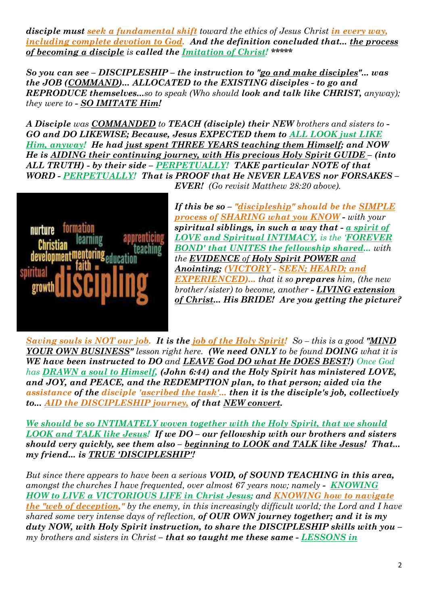*disciple must seek a fundamental shift toward the ethics of Jesus Christ in every way, including complete devotion to God. And the definition concluded that... the process of becoming a disciple is called the Imitation of Christ! \*\*\*\*\**

*So you can see – DISCIPLESHIP – the instruction to "go and make disciples"... was the JOB (COMMAND)... ALLOCATED to the EXISTING disciples - to go and REPRODUCE themselves...so to speak (Who should look and talk like CHRIST, anyway); they were to - SO IMITATE Him!*

*A Disciple was COMMANDED to TEACH (disciple) their NEW brothers and sisters to - GO and DO LIKEWISE; Because, Jesus EXPECTED them to ALL LOOK just LIKE Him, anyway! He had just spent THREE YEARS teaching them Himself; and NOW He is AIDING their continuing journey, with His precious Holy Spirit GUIDE – (into ALL TRUTH) - by their side – PERPETUALLY! TAKE particular NOTE of that WORD - PERPETUALLY! That is PROOF that He NEVER LEAVES nor FORSAKES – EVER! (Go revisit Matthew 28:20 above).*



*If this be so – "discipleship" should be the SIMPLE process of SHARING what you KNOW - with your spiritual siblings, in such a way that - a spirit of LOVE and Spiritual INTIMACY, is the 'FOREVER BOND' that UNITES the fellowship shared... with the EVIDENCE of Holy Spirit POWER and Anointing; (VICTORY - SEEN; HEARD; and EXPERIENCED)... that it so prepares him, (the new brother/sister) to become, another - LIVING extension of Christ... His BRIDE! Are you getting the picture?*

*Saving souls is NOT our job. It is the job of the Holy Spirit! So – this is a good "MIND YOUR OWN BUSINESS" lesson right here. (We need ONLY to be found DOING what it is WE have been instructed to DO and LEAVE God DO what He DOES BEST!) Once God has DRAWN a soul to Himself, (John 6:44) and the Holy Spirit has ministered LOVE, and JOY, and PEACE, and the REDEMPTION plan, to that person; aided via the assistance of the disciple 'ascribed the task'... then it is the disciple's job, collectively to... AID the DISCIPLESHIP journey, of that NEW convert.* 

*We should be so INTIMATELY woven together with the Holy Spirit, that we should LOOK and TALK like Jesus! If we DO – our fellowship with our brothers and sisters should very quickly, see them also – beginning to LOOK and TALK like Jesus! That... my friend... is TRUE 'DISCIPLESHIP'!*

*But since there appears to have been a serious VOID, of SOUND TEACHING in this area, amongst the churches I have frequented, over almost 67 years now; namely - KNOWING HOW to LIVE a VICTORIOUS LIFE in Christ Jesus; and KNOWING how to navigate the "web of deception," by the enemy, in this increasingly difficult world; the Lord and I have shared some very intense days of reflection, of OUR OWN journey together; and it is my duty NOW, with Holy Spirit instruction, to share the DISCIPLESHIP skills with you – my brothers and sisters in Christ – that so taught me these same - LESSONS in*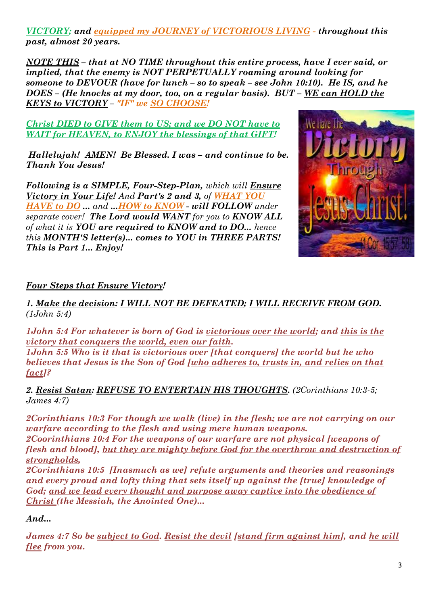*VICTORY; and equipped my JOURNEY of VICTORIOUS LIVING - throughout this past, almost 20 years.* 

*NOTE THIS – that at NO TIME throughout this entire process, have I ever said, or implied, that the enemy is NOT PERPETUALLY roaming around looking for someone to DEVOUR (have for lunch – so to speak – see John 10:10). He IS, and he DOES – (He knocks at my door, too, on a regular basis). BUT – WE can HOLD the KEYS to VICTORY – "IF" we SO CHOOSE!* 

*Christ DIED to GIVE them to US; and we DO NOT have to WAIT for HEAVEN, to ENJOY the blessings of that GIFT!* 

*Hallelujah! AMEN! Be Blessed. I was – and continue to be. Thank You Jesus!*

*Following is a SIMPLE, Four-Step-Plan, which will Ensure Victory in Your Life! And Part's 2 and 3, of WHAT YOU HAVE to DO ... and ...HOW to KNOW - will FOLLOW under separate cover! The Lord would WANT for you to KNOW ALL of what it is YOU are required to KNOW and to DO... hence this MONTH'S letter(s)... comes to YOU in THREE PARTS! This is Part 1... Enjoy!*



## *Four Steps that Ensure Victory!*

*1. Make the decision: I WILL NOT BE DEFEATED; I WILL RECEIVE FROM GOD. (1John 5:4)*

*1John 5:4 For whatever is born of God is victorious over the world; and this is the victory that conquers the world, even our faith.* 

*1John 5:5 Who is it that is victorious over [that conquers] the world but he who believes that Jesus is the Son of God [who adheres to, trusts in, and relies on that fact]?*

*2. Resist Satan: REFUSE TO ENTERTAIN HIS THOUGHTS. (2Corinthians 10:3-5; James 4:7)*

*2Corinthians 10:3 For though we walk (live) in the flesh; we are not carrying on our warfare according to the flesh and using mere human weapons. 2Coorinthians 10:4 For the weapons of our warfare are not physical [weapons of flesh and blood], but they are mighty before God for the overthrow and destruction of strongholds,* 

*2Corinthians 10:5 [Inasmuch as we] refute arguments and theories and reasonings and every proud and lofty thing that sets itself up against the [true] knowledge of God; and we lead every thought and purpose away captive into the obedience of Christ (the Messiah, the Anointed One)...*

*And...*

*James 4:7 So be subject to God. Resist the devil [stand firm against him], and he will flee from you.*